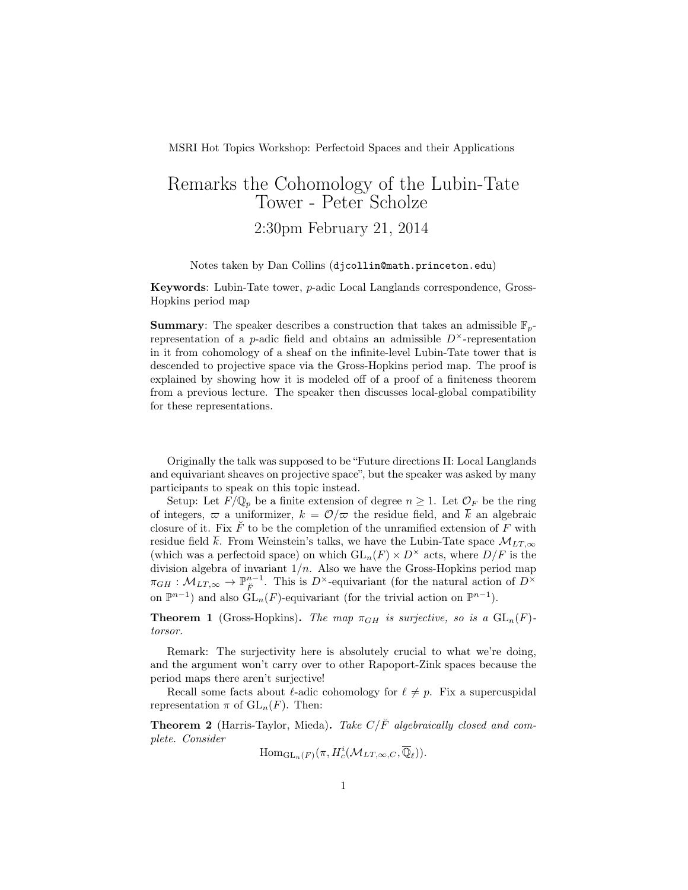MSRI Hot Topics Workshop: Perfectoid Spaces and their Applications

## Remarks the Cohomology of the Lubin-Tate Tower - Peter Scholze 2:30pm February 21, 2014

Notes taken by Dan Collins (djcollin@math.princeton.edu)

Keywords: Lubin-Tate tower, p-adic Local Langlands correspondence, Gross-Hopkins period map

**Summary:** The speaker describes a construction that takes an admissible  $\mathbb{F}_p$ representation of a *p*-adic field and obtains an admissible  $D^{\times}$ -representation in it from cohomology of a sheaf on the infinite-level Lubin-Tate tower that is descended to projective space via the Gross-Hopkins period map. The proof is explained by showing how it is modeled off of a proof of a finiteness theorem from a previous lecture. The speaker then discusses local-global compatibility for these representations.

Originally the talk was supposed to be "Future directions II: Local Langlands and equivariant sheaves on projective space", but the speaker was asked by many participants to speak on this topic instead.

Setup: Let  $F/\mathbb{Q}_p$  be a finite extension of degree  $n \geq 1$ . Let  $\mathcal{O}_F$  be the ring of integers,  $\varpi$  a uniformizer,  $k = \mathcal{O}/\varpi$  the residue field, and  $\overline{k}$  an algebraic closure of it. Fix  $\check{F}$  to be the completion of the unramified extension of F with residue field  $\bar{k}$ . From Weinstein's talks, we have the Lubin-Tate space  $\mathcal{M}_{LT,\infty}$ (which was a perfectoid space) on which  $GL_n(F) \times D^{\times}$  acts, where  $D/F$  is the division algebra of invariant  $1/n$ . Also we have the Gross-Hopkins period map  $\pi_{GH}: \mathcal{M}_{LT,\infty} \to \mathbb{P}^{n-1}_{\breve{F}}$ . This is  $D^{\times}$ -equivariant (for the natural action of  $D^{\times}$ on  $\mathbb{P}^{n-1}$ ) and also  $\tilde{\mathrm{GL}}_n(F)$ -equivariant (for the trivial action on  $\mathbb{P}^{n-1}$ ).

**Theorem 1** (Gross-Hopkins). The map  $\pi_{GH}$  is surjective, so is a  $GL_n(F)$ torsor.

Remark: The surjectivity here is absolutely crucial to what we're doing, and the argument won't carry over to other Rapoport-Zink spaces because the period maps there aren't surjective!

Recall some facts about  $\ell$ -adic cohomology for  $\ell \neq p$ . Fix a supercuspidal representation  $\pi$  of  $GL_n(F)$ . Then:

**Theorem 2** (Harris-Taylor, Mieda). Take  $C/\breve{F}$  algebraically closed and complete. Consider

 $\mathrm{Hom}_{\mathrm{GL}_n(F)}(\pi, H^i_c(\mathcal{M}_{LT,\infty,C},\overline{\mathbb{Q}}_\ell)).$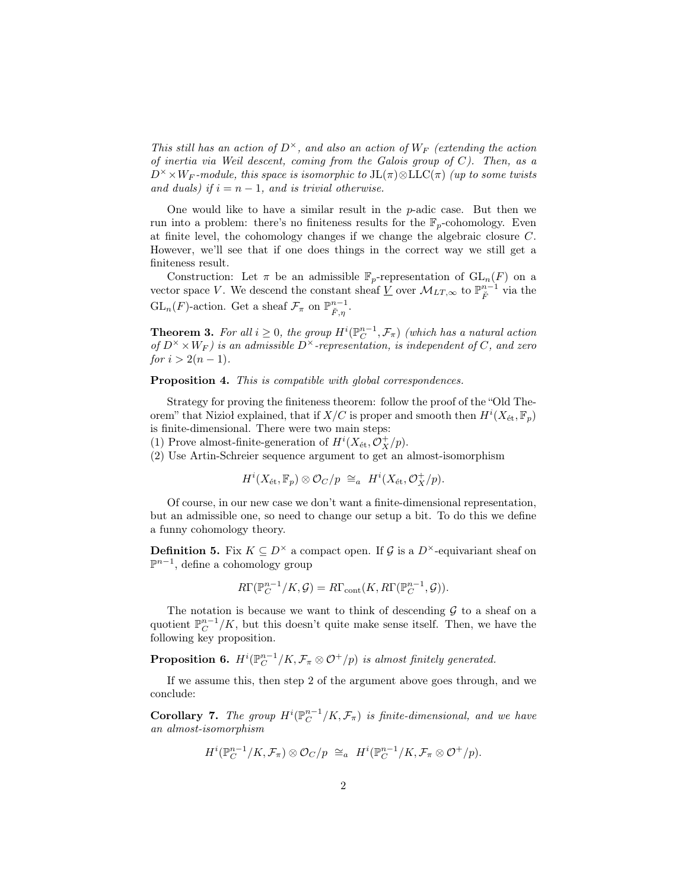This still has an action of  $D^{\times}$ , and also an action of  $W_F$  (extending the action of inertia via Weil descent, coming from the Galois group of  $C$ ). Then, as a  $D^{\times} \times W_F$ -module, this space is isomorphic to  $JL(\pi) \otimes LLC(\pi)$  (up to some twists and duals) if  $i = n - 1$ , and is trivial otherwise.

One would like to have a similar result in the  $p$ -adic case. But then we run into a problem: there's no finiteness results for the  $\mathbb{F}_p$ -cohomology. Even at finite level, the cohomology changes if we change the algebraic closure C. However, we'll see that if one does things in the correct way we still get a finiteness result.

Construction: Let  $\pi$  be an admissible  $\mathbb{F}_p$ -representation of  $GL_n(F)$  on a vector space V. We descend the constant sheaf  $\underline{V}$  over  $\mathcal{M}_{LT,\infty}$  to  $\mathbb{P}^{n-1}_{\breve{F}}$  via the  $\operatorname{GL}_n(F)$ -action. Get a sheaf  $\mathcal{F}_{\pi}$  on  $\mathbb{P}^{n-1}_{\breve{F},\eta}$ .

**Theorem 3.** For all  $i \geq 0$ , the group  $H^i(\mathbb{P}_C^{n-1}, \mathcal{F}_\pi)$  (which has a natural action of  $D^{\times} \times W_F$ ) is an admissible  $D^{\times}$ -representation, is independent of C, and zero for  $i > 2(n-1)$ .

Proposition 4. This is compatible with global correspondences.

Strategy for proving the finiteness theorem: follow the proof of the "Old Theorem" that Niziol explained, that if  $X/C$  is proper and smooth then  $H^{i}(X_{\text{\'et}}, \mathbb{F}_p)$ is finite-dimensional. There were two main steps:

(1) Prove almost-finite-generation of  $H^i(X_\text{\'et}, \mathcal O_X^+/p)$ .

(2) Use Artin-Schreier sequence argument to get an almost-isomorphism

$$
H^{i}(X_{\mathrm{\acute{e}t}},\mathbb{F}_{p})\otimes\mathcal{O}_{C}/p\cong_{a} H^{i}(X_{\mathrm{\acute{e}t}},\mathcal{O}_{X}^{+}/p).
$$

Of course, in our new case we don't want a finite-dimensional representation, but an admissible one, so need to change our setup a bit. To do this we define a funny cohomology theory.

**Definition 5.** Fix  $K \subseteq D^{\times}$  a compact open. If G is a  $D^{\times}$ -equivariant sheaf on  $\mathbb{P}^{n-1}$ , define a cohomology group

$$
R\Gamma(\mathbb{P}_C^{n-1}/K,\mathcal{G})=R\Gamma_{\text{cont}}(K,R\Gamma(\mathbb{P}_C^{n-1},\mathcal{G})).
$$

The notation is because we want to think of descending  $G$  to a sheaf on a quotient  $\mathbb{P}_{\mathbb{C}}^{n-1}/K$ , but this doesn't quite make sense itself. Then, we have the following key proposition.

**Proposition 6.**  $H^i(\mathbb{P}_C^{n-1}/K, \mathcal{F}_\pi \otimes \mathcal{O}^+/p)$  is almost finitely generated.

If we assume this, then step 2 of the argument above goes through, and we conclude:

**Corollary 7.** The group  $H^i(\mathbb{P}_C^{n-1}/K, \mathcal{F}_\pi)$  is finite-dimensional, and we have an almost-isomorphism

$$
H^i(\mathbb{P}_C^{n-1}/K, \mathcal{F}_\pi) \otimes \mathcal{O}_C/p \cong_a H^i(\mathbb{P}_C^{n-1}/K, \mathcal{F}_\pi \otimes \mathcal{O}^+/p).
$$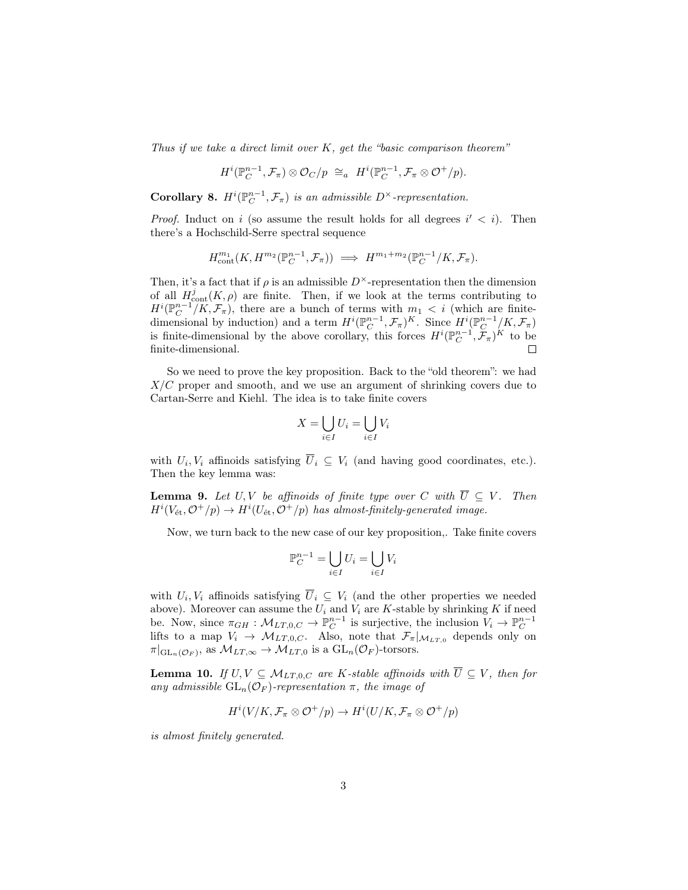Thus if we take a direct limit over  $K$ , get the "basic comparison theorem"

$$
H^i(\mathbb{P}_C^{n-1},\mathcal{F}_\pi)\otimes \mathcal{O}_C/p\;\cong_a\; H^i(\mathbb{P}_C^{n-1},\mathcal{F}_\pi\otimes \mathcal{O}^+/p).
$$

**Corollary 8.**  $H^i(\mathbb{P}_C^{n-1}, \mathcal{F}_\pi)$  is an admissible  $D^\times$ -representation.

*Proof.* Induct on i (so assume the result holds for all degrees  $i' < i$ ). Then there's a Hochschild-Serre spectral sequence

$$
H^{m_1}_{\text{cont}}(K, H^{m_2}(\mathbb{P}_C^{n-1}, \mathcal{F}_\pi)) \implies H^{m_1+m_2}(\mathbb{P}_C^{n-1}/K, \mathcal{F}_\pi).
$$

Then, it's a fact that if  $\rho$  is an admissible  $D^{\times}$ -representation then the dimension of all  $H_{\text{cont}}^{j}(K, \rho)$  are finite. Then, if we look at the terms contributing to  $H^{i}(\mathbb{P}_{C}^{n-1}/K, \mathcal{F}_{\pi})$ , there are a bunch of terms with  $m_1 < i$  (which are finitedimensional by induction) and a term  $H^i(\mathbb{P}_{C}^{n-1}, \mathcal{F}_{\pi})^K$ . Since  $H^i(\mathbb{P}_{C}^{n-1}/K, \mathcal{F}_{\pi})$ is finite-dimensional by the above corollary, this forces  $H^i(\mathbb{P}_C^{n-1}, \mathcal{F}_\pi)^K$  to be finite-dimensional.

So we need to prove the key proposition. Back to the "old theorem": we had  $X/C$  proper and smooth, and we use an argument of shrinking covers due to Cartan-Serre and Kiehl. The idea is to take finite covers

$$
X = \bigcup_{i \in I} U_i = \bigcup_{i \in I} V_i
$$

with  $U_i, V_i$  affinoids satisfying  $U_i \subseteq V_i$  (and having good coordinates, etc.). Then the key lemma was:

**Lemma 9.** Let U, V be affinoids of finite type over C with  $\overline{U} \subseteq V$ . Then  $H^{i}(V_{\text{\'et}}, \mathcal{O}^+/p) \rightarrow H^{i}(U_{\text{\'et}}, \mathcal{O}^+/p)$  has almost-finitely-generated image.

Now, we turn back to the new case of our key proposition,. Take finite covers

$$
\mathbb{P}_C^{n-1} = \bigcup_{i \in I} U_i = \bigcup_{i \in I} V_i
$$

with  $U_i, V_i$  affinoids satisfying  $U_i \subseteq V_i$  (and the other properties we needed above). Moreover can assume the  $U_i$  and  $V_i$  are K-stable by shrinking K if need be. Now, since  $\pi_{GH}: \mathcal{M}_{LT,0,C} \to \mathbb{P}_{C}^{n-1}$  is surjective, the inclusion  $V_i \to \mathbb{P}_{C}^{n-1}$ lifts to a map  $V_i \to M_{LT,0,C}$ . Also, note that  $\mathcal{F}_{\pi}|_{M_{LT,0}}$  depends only on  $\pi|_{\mathrm{GL}_n(\mathcal{O}_F)}$ , as  $\mathcal{M}_{LT,\infty} \to \mathcal{M}_{LT,0}$  is a  $\mathrm{GL}_n(\mathcal{O}_F)$ -torsors.

**Lemma 10.** If  $U, V \subseteq M_{LT,0,C}$  are K-stable affinoids with  $\overline{U} \subseteq V$ , then for any admissible  $GL_n(\mathcal{O}_F)$ -representation  $\pi$ , the image of

$$
H^i(V/K, \mathcal{F}_\pi \otimes \mathcal{O}^+/p) \to H^i(U/K, \mathcal{F}_\pi \otimes \mathcal{O}^+/p)
$$

is almost finitely generated.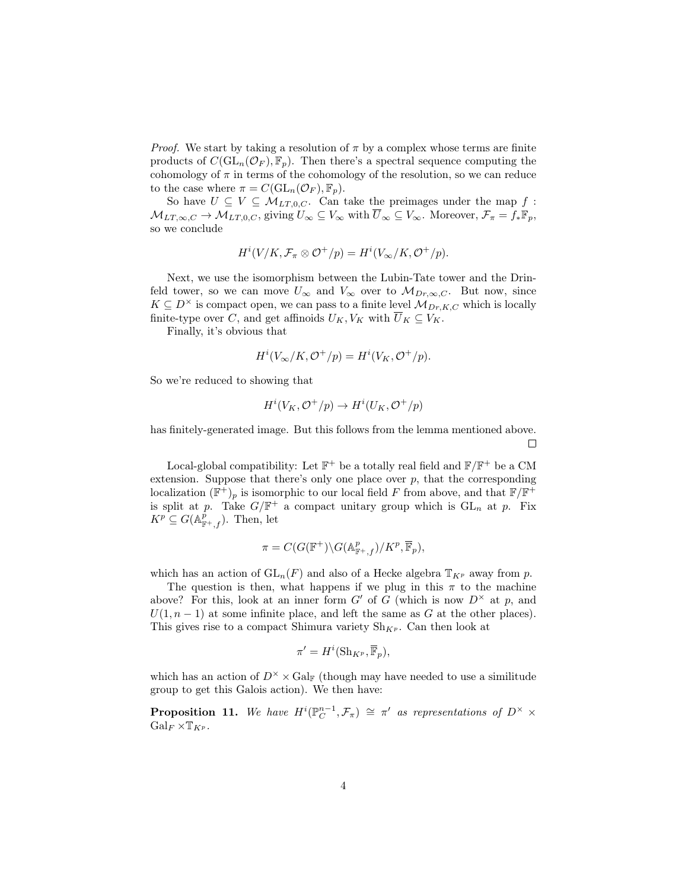*Proof.* We start by taking a resolution of  $\pi$  by a complex whose terms are finite products of  $C(\mathrm{GL}_n(\mathcal{O}_F), \mathbb{F}_p)$ . Then there's a spectral sequence computing the cohomology of  $\pi$  in terms of the cohomology of the resolution, so we can reduce to the case where  $\pi = C(\mathrm{GL}_n(\mathcal{O}_F), \mathbb{F}_p).$ 

So have  $U \subseteq V \subseteq M_{LT,0,C}$ . Can take the preimages under the map f:  $M_{LT,\infty,C} \to M_{LT,0,C}$ , giving  $U_{\infty} \subseteq V_{\infty}$  with  $\overline{U}_{\infty} \subseteq V_{\infty}$ . Moreover,  $\mathcal{F}_{\pi} = f_* \mathbb{F}_p$ , so we conclude

$$
H^{i}(V/K, \mathcal{F}_{\pi} \otimes \mathcal{O}^{+}/p) = H^{i}(V_{\infty}/K, \mathcal{O}^{+}/p).
$$

Next, we use the isomorphism between the Lubin-Tate tower and the Drinfeld tower, so we can move  $U_{\infty}$  and  $V_{\infty}$  over to  $\mathcal{M}_{Dr,\infty,C}$ . But now, since  $K \subseteq D^{\times}$  is compact open, we can pass to a finite level  $\mathcal{M}_{Dr,K,C}$  which is locally finite-type over C, and get affinoids  $U_K, V_K$  with  $\overline{U}_K \subseteq V_K$ .

Finally, it's obvious that

$$
H^i(V_\infty/K, \mathcal{O}^+/p) = H^i(V_K, \mathcal{O}^+/p).
$$

So we're reduced to showing that

$$
H^i(V_K, \mathcal{O}^+/p) \to H^i(U_K, \mathcal{O}^+/p)
$$

has finitely-generated image. But this follows from the lemma mentioned above.  $\Box$ 

Local-global compatibility: Let  $\mathbb{F}^+$  be a totally real field and  $\mathbb{F}/\mathbb{F}^+$  be a CM extension. Suppose that there's only one place over  $p$ , that the corresponding localization  $(\mathbb{F}^+)_p$  is isomorphic to our local field F from above, and that  $\mathbb{F}/\mathbb{F}^+$ is split at p. Take  $G/\mathbb{F}^+$  a compact unitary group which is  $GL_n$  at p. Fix  $K^p \subseteq G(\mathbb{A}^p_{\mathbb{F}^+,f}).$  Then, let

$$
\pi = C(G(\mathbb{F}^+) \backslash G(\mathbb{A}^p_{\mathbb{F}^+,f})/K^p, \overline{\mathbb{F}}_p),
$$

which has an action of  $GL_n(F)$  and also of a Hecke algebra  $\mathbb{T}_{K^p}$  away from p.

The question is then, what happens if we plug in this  $\pi$  to the machine above? For this, look at an inner form G' of G (which is now  $D^{\times}$  at p, and  $U(1, n-1)$  at some infinite place, and left the same as G at the other places). This gives rise to a compact Shimura variety  $\text{Sh}_{K^p}$ . Can then look at

$$
\pi' = H^i(\operatorname{Sh}_{K^p}, \overline{\mathbb{F}}_p),
$$

which has an action of  $D^{\times} \times \text{Gal}_{\mathbb{F}}$  (though may have needed to use a similitude group to get this Galois action). We then have:

**Proposition 11.** We have  $H^i(\mathbb{P}_C^{n-1}, \mathcal{F}_\pi) \cong \pi'$  as representations of  $D^\times \times$  $Gal_F \times \mathbb{T}_{K^p}$ .